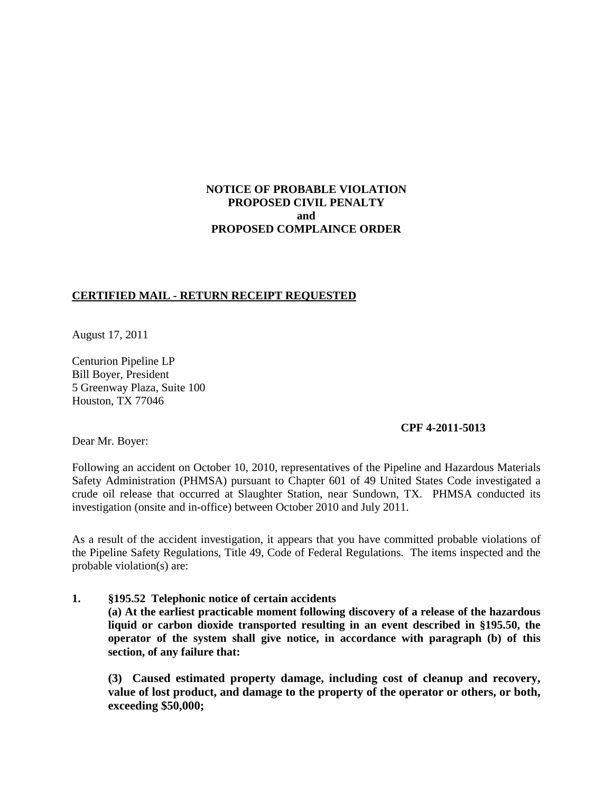## **NOTICE OF PROBABLE VIOLATION PROPOSED CIVIL PENALTY and PROPOSED COMPLAINCE ORDER**

## **CERTIFIED MAIL - RETURN RECEIPT REQUESTED**

August 17, 2011

Centurion Pipeline LP Bill Boyer, President 5 Greenway Plaza, Suite 100 Houston, TX 77046

### **CPF 4-2011-5013**

Dear Mr. Boyer:

Following an accident on October 10, 2010, representatives of the Pipeline and Hazardous Materials Safety Administration (PHMSA) pursuant to Chapter 601 of 49 United States Code investigated a crude oil release that occurred at Slaughter Station, near Sundown, TX. PHMSA conducted its investigation (onsite and in-office) between October 2010 and July 2011.

As a result of the accident investigation, it appears that you have committed probable violations of the Pipeline Safety Regulations, Title 49, Code of Federal Regulations. The items inspected and the probable violation(s) are:

**1. §195.52 Telephonic notice of certain accidents (a) At the earliest practicable moment following discovery of a release of the hazardous liquid or carbon dioxide transported resulting in an event described in §195.50, the operator of the system shall give notice, in accordance with paragraph (b) of this section, of any failure that:**

**(3) Caused estimated property damage, including cost of cleanup and recovery, value of lost product, and damage to the property of the operator or others, or both, exceeding \$50,000;**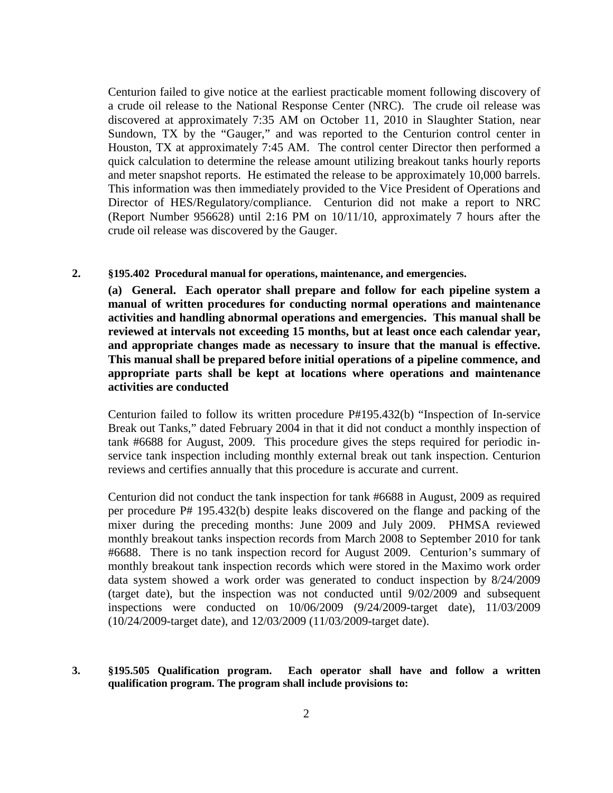Centurion failed to give notice at the earliest practicable moment following discovery of a crude oil release to the National Response Center (NRC). The crude oil release was discovered at approximately 7:35 AM on October 11, 2010 in Slaughter Station, near Sundown, TX by the "Gauger," and was reported to the Centurion control center in Houston, TX at approximately 7:45 AM. The control center Director then performed a quick calculation to determine the release amount utilizing breakout tanks hourly reports and meter snapshot reports. He estimated the release to be approximately 10,000 barrels. This information was then immediately provided to the Vice President of Operations and Director of HES/Regulatory/compliance. Centurion did not make a report to NRC (Report Number 956628) until 2:16 PM on 10/11/10, approximately 7 hours after the crude oil release was discovered by the Gauger.

**2. §195.402 Procedural manual for operations, maintenance, and emergencies.**

**(a) General. Each operator shall prepare and follow for each pipeline system a manual of written procedures for conducting normal operations and maintenance activities and handling abnormal operations and emergencies. This manual shall be reviewed at intervals not exceeding 15 months, but at least once each calendar year, and appropriate changes made as necessary to insure that the manual is effective. This manual shall be prepared before initial operations of a pipeline commence, and appropriate parts shall be kept at locations where operations and maintenance activities are conducted**

Centurion failed to follow its written procedure P#195.432(b) "Inspection of In-service Break out Tanks," dated February 2004 in that it did not conduct a monthly inspection of tank #6688 for August, 2009. This procedure gives the steps required for periodic inservice tank inspection including monthly external break out tank inspection. Centurion reviews and certifies annually that this procedure is accurate and current.

Centurion did not conduct the tank inspection for tank #6688 in August, 2009 as required per procedure P# 195.432(b) despite leaks discovered on the flange and packing of the mixer during the preceding months: June 2009 and July 2009. PHMSA reviewed monthly breakout tanks inspection records from March 2008 to September 2010 for tank #6688. There is no tank inspection record for August 2009. Centurion's summary of monthly breakout tank inspection records which were stored in the Maximo work order data system showed a work order was generated to conduct inspection by 8/24/2009 (target date), but the inspection was not conducted until 9/02/2009 and subsequent inspections were conducted on 10/06/2009 (9/24/2009-target date), 11/03/2009 (10/24/2009-target date), and 12/03/2009 (11/03/2009-target date).

**3. §195.505 Qualification program. Each operator shall have and follow a written qualification program. The program shall include provisions to:**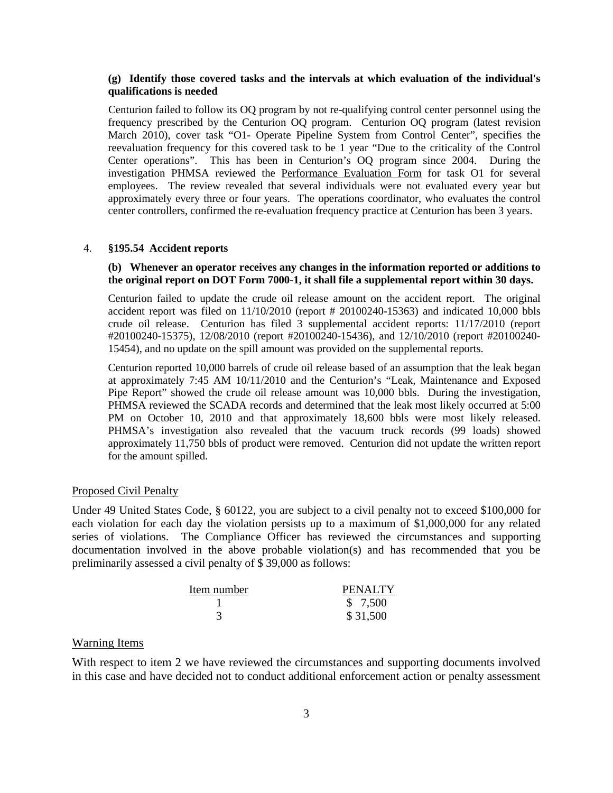### **(g) Identify those covered tasks and the intervals at which evaluation of the individual's qualifications is needed**

Centurion failed to follow its OQ program by not re-qualifying control center personnel using the frequency prescribed by the Centurion OQ program. Centurion OQ program (latest revision March 2010), cover task "O1- Operate Pipeline System from Control Center", specifies the reevaluation frequency for this covered task to be 1 year "Due to the criticality of the Control Center operations". This has been in Centurion's OQ program since 2004. During the investigation PHMSA reviewed the Performance Evaluation Form for task O1 for several employees. The review revealed that several individuals were not evaluated every year but approximately every three or four years. The operations coordinator, who evaluates the control center controllers, confirmed the re-evaluation frequency practice at Centurion has been 3 years.

#### 4. **§195.54 Accident reports**

### **(b) Whenever an operator receives any changes in the information reported or additions to the original report on DOT Form 7000-1, it shall file a supplemental report within 30 days.**

Centurion failed to update the crude oil release amount on the accident report. The original accident report was filed on 11/10/2010 (report # 20100240-15363) and indicated 10,000 bbls crude oil release. Centurion has filed 3 supplemental accident reports: 11/17/2010 (report #20100240-15375), 12/08/2010 (report #20100240-15436), and 12/10/2010 (report #20100240- 15454), and no update on the spill amount was provided on the supplemental reports.

Centurion reported 10,000 barrels of crude oil release based of an assumption that the leak began at approximately 7:45 AM 10/11/2010 and the Centurion's "Leak, Maintenance and Exposed Pipe Report" showed the crude oil release amount was 10,000 bbls. During the investigation, PHMSA reviewed the SCADA records and determined that the leak most likely occurred at 5:00 PM on October 10, 2010 and that approximately 18,600 bbls were most likely released. PHMSA's investigation also revealed that the vacuum truck records (99 loads) showed approximately 11,750 bbls of product were removed. Centurion did not update the written report for the amount spilled.

#### Proposed Civil Penalty

Under 49 United States Code, § 60122, you are subject to a civil penalty not to exceed \$100,000 for each violation for each day the violation persists up to a maximum of \$1,000,000 for any related series of violations. The Compliance Officer has reviewed the circumstances and supporting documentation involved in the above probable violation(s) and has recommended that you be preliminarily assessed a civil penalty of \$ 39,000 as follows:

| Item number | PENALTY  |
|-------------|----------|
|             | \$ 7,500 |
|             | \$31,500 |

### Warning Items

With respect to item 2 we have reviewed the circumstances and supporting documents involved in this case and have decided not to conduct additional enforcement action or penalty assessment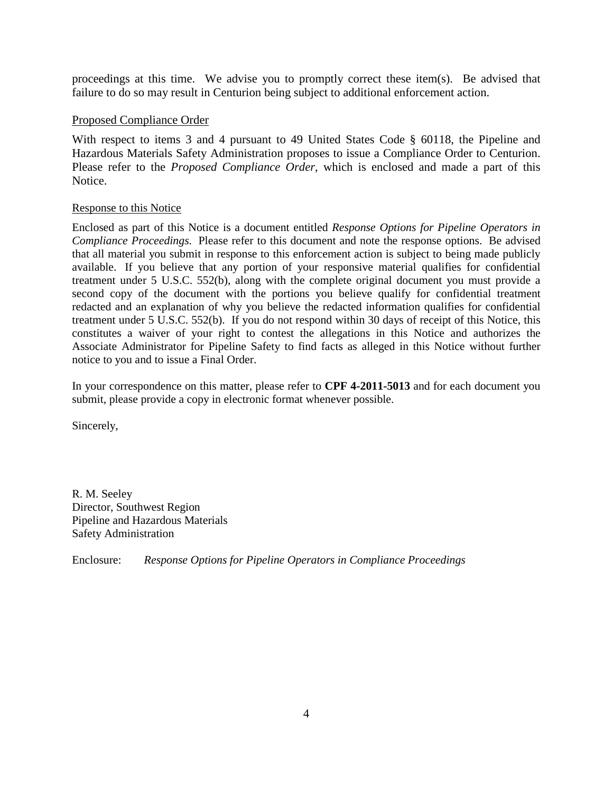proceedings at this time. We advise you to promptly correct these item(s). Be advised that failure to do so may result in Centurion being subject to additional enforcement action.

## Proposed Compliance Order

With respect to items 3 and 4 pursuant to 49 United States Code § 60118, the Pipeline and Hazardous Materials Safety Administration proposes to issue a Compliance Order to Centurion. Please refer to the *Proposed Compliance Order*, which is enclosed and made a part of this Notice.

### Response to this Notice

Enclosed as part of this Notice is a document entitled *Response Options for Pipeline Operators in Compliance Proceedings*. Please refer to this document and note the response options. Be advised that all material you submit in response to this enforcement action is subject to being made publicly available. If you believe that any portion of your responsive material qualifies for confidential treatment under 5 U.S.C. 552(b), along with the complete original document you must provide a second copy of the document with the portions you believe qualify for confidential treatment redacted and an explanation of why you believe the redacted information qualifies for confidential treatment under 5 U.S.C. 552(b). If you do not respond within 30 days of receipt of this Notice, this constitutes a waiver of your right to contest the allegations in this Notice and authorizes the Associate Administrator for Pipeline Safety to find facts as alleged in this Notice without further notice to you and to issue a Final Order.

In your correspondence on this matter, please refer to **CPF 4-2011-5013** and for each document you submit, please provide a copy in electronic format whenever possible.

Sincerely,

R. M. Seeley Director, Southwest Region Pipeline and Hazardous Materials Safety Administration

Enclosure: *Response Options for Pipeline Operators in Compliance Proceedings*